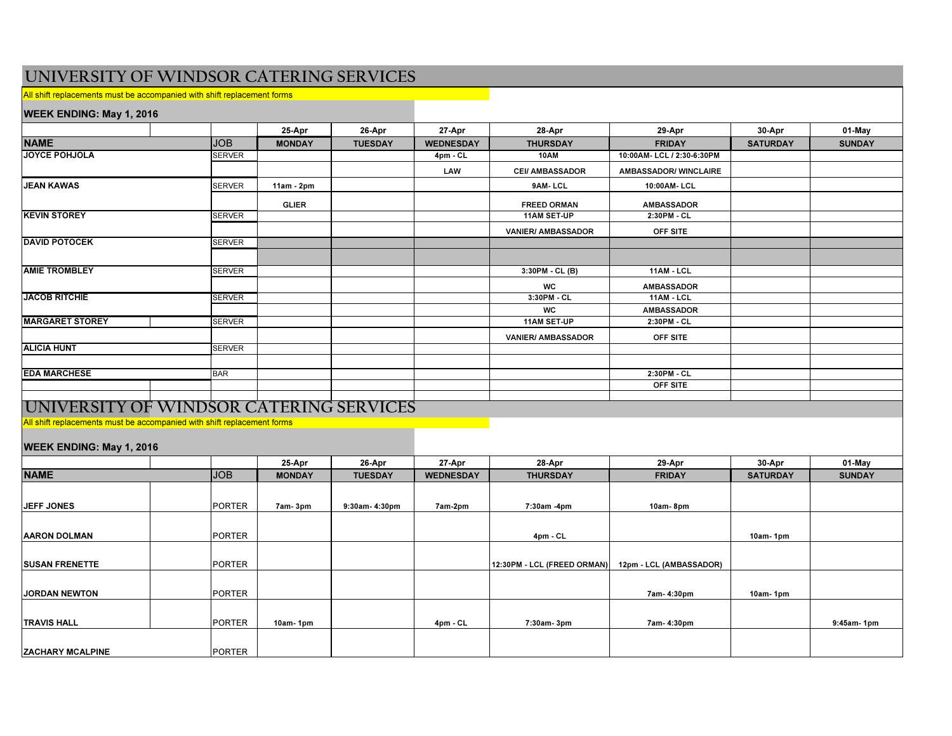# UNIVERSITY OF WINDSOR CATERING SERVICES

All shift replacements must be accompanied with shift replacement forms

#### WEEK ENDING: May 1, 2016

| $\frac{1}{2}$                                    |  |               |               |                |                  |                                                        |                   |                 |               |
|--------------------------------------------------|--|---------------|---------------|----------------|------------------|--------------------------------------------------------|-------------------|-----------------|---------------|
|                                                  |  |               | 25-Apr        | 26-Apr         | 27-Apr           | 28-Apr                                                 | 29-Apr            | 30-Apr          | 01-May        |
| <b>NAME</b>                                      |  | <b>JOB</b>    | <b>MONDAY</b> | <b>TUESDAY</b> | <b>WEDNESDAY</b> | <b>THURSDAY</b>                                        | <b>FRIDAY</b>     | <b>SATURDAY</b> | <b>SUNDAY</b> |
| JOYCE POHJOLA                                    |  | <b>SERVER</b> |               |                | $4pm$ - CL       | 10:00AM- LCL / 2:30-6:30PM<br>10AM                     |                   |                 |               |
|                                                  |  |               |               |                | LAW              | <b>CEI/ AMBASSADOR</b><br><b>AMBASSADOR/ WINCLAIRE</b> |                   |                 |               |
| <b>JEAN KAWAS</b>                                |  | <b>SERVER</b> | $11am - 2pm$  |                |                  | 9AM-LCL<br>10:00AM- LCL                                |                   |                 |               |
|                                                  |  |               | <b>GLIER</b>  |                |                  | <b>FREED ORMAN</b><br><b>AMBASSADOR</b>                |                   |                 |               |
| <b>KEVIN STOREY</b>                              |  | <b>SERVER</b> |               |                |                  | 2:30PM - CL<br>11AM SET-UP                             |                   |                 |               |
|                                                  |  |               |               |                |                  | <b>VANIER/ AMBASSADOR</b>                              | OFF SITE          |                 |               |
| <b>DAVID POTOCEK</b>                             |  | <b>SERVER</b> |               |                |                  |                                                        |                   |                 |               |
|                                                  |  |               |               |                |                  |                                                        |                   |                 |               |
| <b>AMIE TROMBLEY</b>                             |  | <b>SERVER</b> |               |                |                  | 11AM - LCL<br>3:30PM - CL (B)                          |                   |                 |               |
|                                                  |  |               |               |                |                  | <b>WC</b>                                              | <b>AMBASSADOR</b> |                 |               |
| <b>JACOB RITCHIE</b>                             |  | <b>SERVER</b> |               |                |                  | 3:30PM - CL<br>$11AM - LCL$                            |                   |                 |               |
|                                                  |  |               |               |                |                  | <b>WC</b>                                              | <b>AMBASSADOR</b> |                 |               |
| <b>MARGARET STOREY</b>                           |  | <b>SERVER</b> |               |                |                  | <b>11AM SET-UP</b>                                     | 2:30PM - CL       |                 |               |
|                                                  |  |               |               |                |                  | <b>VANIER/ AMBASSADOR</b>                              | OFF SITE          |                 |               |
| <b>ALICIA HUNT</b>                               |  | <b>SERVER</b> |               |                |                  |                                                        |                   |                 |               |
|                                                  |  |               |               |                |                  |                                                        |                   |                 |               |
| <b>EDA MARCHESE</b>                              |  | <b>BAR</b>    |               |                |                  |                                                        | 2:30PM - CL       |                 |               |
|                                                  |  |               |               |                |                  |                                                        | OFF SITE          |                 |               |
|                                                  |  |               |               |                |                  |                                                        |                   |                 |               |
| <b>LUMIVER SITY OF WINDSOR CATERING SERVICES</b> |  |               |               |                |                  |                                                        |                   |                 |               |

UNIVERSITY OF WINDSOR CATERING SERVICES

All shift replacements must be accompanied with shift replacement forms

### WEEK ENDING: May 1, 2016

|                         |  |               | 25-Apr        | 26-Apr         | 27-Apr           | 28-Apr                      | 29-Apr                  | 30-Apr          | 01-May        |
|-------------------------|--|---------------|---------------|----------------|------------------|-----------------------------|-------------------------|-----------------|---------------|
| <b>NAME</b>             |  | <b>JOB</b>    | <b>MONDAY</b> | <b>TUESDAY</b> | <b>WEDNESDAY</b> | <b>THURSDAY</b>             | <b>FRIDAY</b>           | <b>SATURDAY</b> | <b>SUNDAY</b> |
|                         |  |               |               |                |                  |                             |                         |                 |               |
| <b>JEFF JONES</b>       |  | <b>PORTER</b> | 7am-3pm       | 9:30am-4:30pm  | 7am-2pm          | 7:30am -4pm                 | 10am-8pm                |                 |               |
|                         |  |               |               |                |                  |                             |                         |                 |               |
| <b>AARON DOLMAN</b>     |  | <b>PORTER</b> |               |                |                  | 4pm - CL                    |                         | 10am-1 $pm$     |               |
|                         |  |               |               |                |                  |                             |                         |                 |               |
| <b>SUSAN FRENETTE</b>   |  | <b>PORTER</b> |               |                |                  | 12:30PM - LCL (FREED ORMAN) | 12pm - LCL (AMBASSADOR) |                 |               |
|                         |  |               |               |                |                  |                             |                         |                 |               |
| <b>JORDAN NEWTON</b>    |  | <b>PORTER</b> |               |                |                  |                             | 7am- 4:30pm             | 10am-1 $pm$     |               |
|                         |  |               |               |                |                  |                             |                         |                 |               |
| <b>TRAVIS HALL</b>      |  | <b>PORTER</b> | 10am-1 $pm$   |                | 4pm - CL         | 7:30am-3pm                  | 7am- 4:30pm             |                 | 9:45am-1pm    |
|                         |  |               |               |                |                  |                             |                         |                 |               |
| <b>ZACHARY MCALPINE</b> |  | <b>PORTER</b> |               |                |                  |                             |                         |                 |               |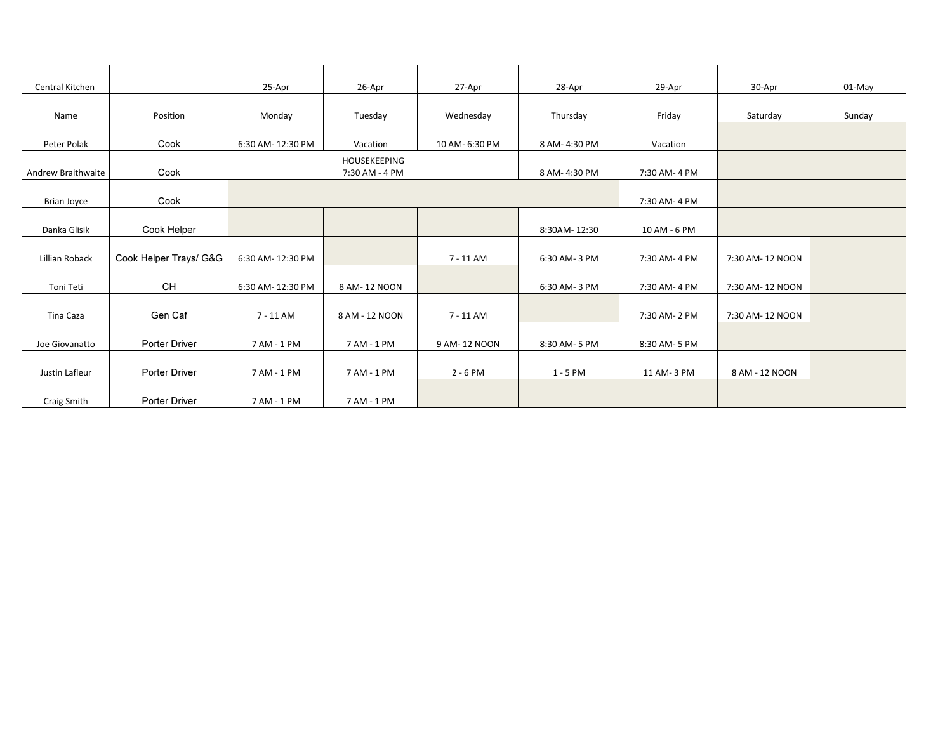| Central Kitchen    |                        | 25-Apr           | 26-Apr                         | 27-Apr         | 28-Apr        | 29-Apr       | 30-Apr           | $01-May$ |
|--------------------|------------------------|------------------|--------------------------------|----------------|---------------|--------------|------------------|----------|
|                    |                        |                  |                                |                |               |              |                  |          |
| Name               | Position               | Monday           | Tuesday                        | Wednesday      | Thursday      | Friday       | Saturday         | Sunday   |
| Peter Polak        | Cook                   | 6:30 AM-12:30 PM | Vacation                       | 10 AM- 6:30 PM | 8 AM-4:30 PM  | Vacation     |                  |          |
| Andrew Braithwaite | Cook                   |                  | HOUSEKEEPING<br>7:30 AM - 4 PM |                | 8 AM- 4:30 PM | 7:30 AM-4 PM |                  |          |
| Brian Joyce        | Cook                   |                  |                                |                |               | 7:30 AM-4 PM |                  |          |
| Danka Glisik       | Cook Helper            |                  |                                |                | 8:30AM-12:30  | 10 AM - 6 PM |                  |          |
| Lillian Roback     | Cook Helper Trays/ G&G | 6:30 AM-12:30 PM |                                | 7 - 11 AM      | 6:30 AM-3 PM  | 7:30 AM-4 PM | 7:30 AM- 12 NOON |          |
| Toni Teti          | CH                     | 6:30 AM-12:30 PM | 8 AM-12 NOON                   |                | 6:30 AM-3 PM  | 7:30 AM-4 PM | 7:30 AM-12 NOON  |          |
| Tina Caza          | Gen Caf                | 7 - 11 AM        | 8 AM - 12 NOON                 | $7 - 11$ AM    |               | 7:30 AM-2 PM | 7:30 AM-12 NOON  |          |
| Joe Giovanatto     | Porter Driver          | 7 AM - 1 PM      | 7 AM - 1 PM                    | 9 AM-12 NOON   | 8:30 AM- 5 PM | 8:30 AM-5 PM |                  |          |
| Justin Lafleur     | Porter Driver          | 7 AM - 1 PM      | 7 AM - 1 PM                    | $2 - 6$ PM     | $1 - 5$ PM    | 11 AM-3 PM   | 8 AM - 12 NOON   |          |
| Craig Smith        | Porter Driver          | 7 AM - 1 PM      | 7 AM - 1 PM                    |                |               |              |                  |          |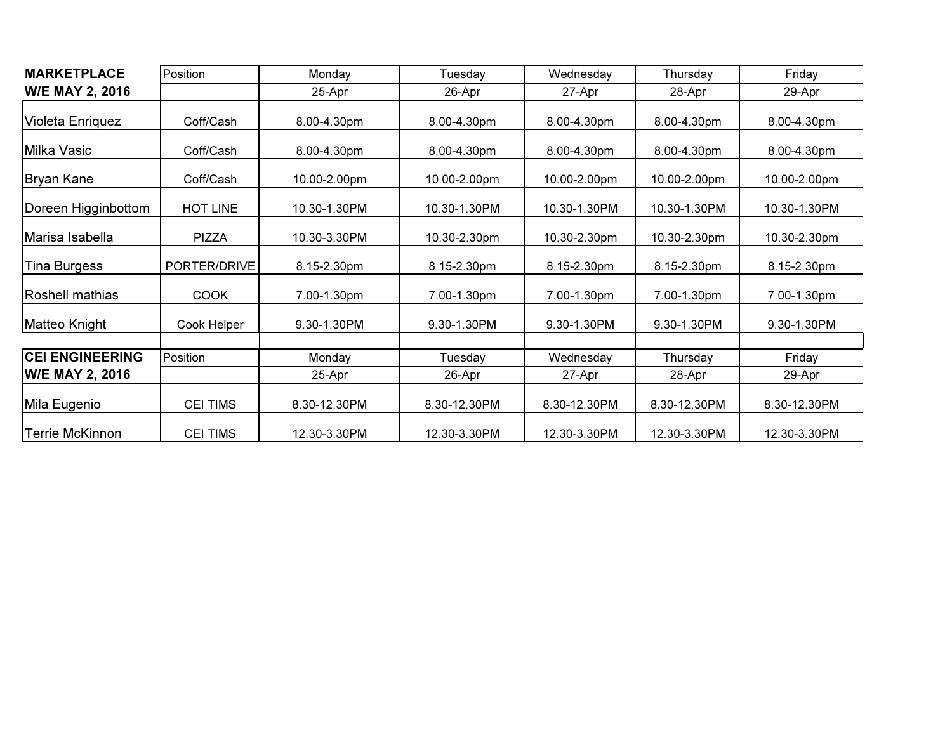| <b>MARKETPLACE</b>      | Position        | Monday       | Tuesday      | Wednesday    | Thursday     | Friday       |  |
|-------------------------|-----------------|--------------|--------------|--------------|--------------|--------------|--|
| <b>W/E MAY 2, 2016</b>  |                 | 25-Apr       | 26-Apr       | 27-Apr       | 28-Apr       | 29-Apr       |  |
| <b>Violeta Enriquez</b> | Coff/Cash       | 8.00-4.30pm  | 8.00-4.30pm  | 8.00-4.30pm  | 8.00-4.30pm  | 8.00-4.30pm  |  |
| Milka Vasic             | Coff/Cash       | 8.00-4.30pm  | 8.00-4.30pm  | 8.00-4.30pm  | 8.00-4.30pm  | 8.00-4.30pm  |  |
| Bryan Kane              | Coff/Cash       | 10.00-2.00pm | 10.00-2.00pm | 10.00-2.00pm | 10.00-2.00pm | 10.00-2.00pm |  |
| Doreen Higginbottom     | HOT LINE        | 10.30-1.30PM | 10.30-1.30PM | 10.30-1.30PM | 10.30-1.30PM | 10.30-1.30PM |  |
| Marisa Isabella         | <b>PIZZA</b>    | 10.30-3.30PM | 10.30-2.30pm | 10.30-2.30pm | 10.30-2.30pm | 10.30-2.30pm |  |
| <b>Tina Burgess</b>     | PORTER/DRIVE    | 8.15-2.30pm  | 8.15-2.30pm  | 8.15-2.30pm  | 8.15-2.30pm  | 8.15-2.30pm  |  |
| Roshell mathias         | <b>COOK</b>     | 7.00-1.30pm  | 7.00-1.30pm  | 7.00-1.30pm  | 7.00-1.30pm  | 7.00-1.30pm  |  |
| Matteo Knight           | Cook Helper     | 9.30-1.30PM  | 9.30-1.30PM  | 9.30-1.30PM  | 9.30-1.30PM  | 9.30-1.30PM  |  |
|                         |                 |              |              |              |              |              |  |
| <b>CEI ENGINEERING</b>  | Position        | Monday       | Tuesday      | Wednesday    | Thursday     | Friday       |  |
| W/E MAY 2, 2016         |                 | 25-Apr       | 26-Apr       | 27-Apr       | 28-Apr       | 29-Apr       |  |
| Mila Eugenio            | <b>CEI TIMS</b> | 8.30-12.30PM | 8.30-12.30PM | 8.30-12.30PM | 8.30-12.30PM | 8.30-12.30PM |  |
| <b>Terrie McKinnon</b>  | <b>CEI TIMS</b> | 12.30-3.30PM | 12.30-3.30PM | 12.30-3.30PM | 12.30-3.30PM | 12.30-3.30PM |  |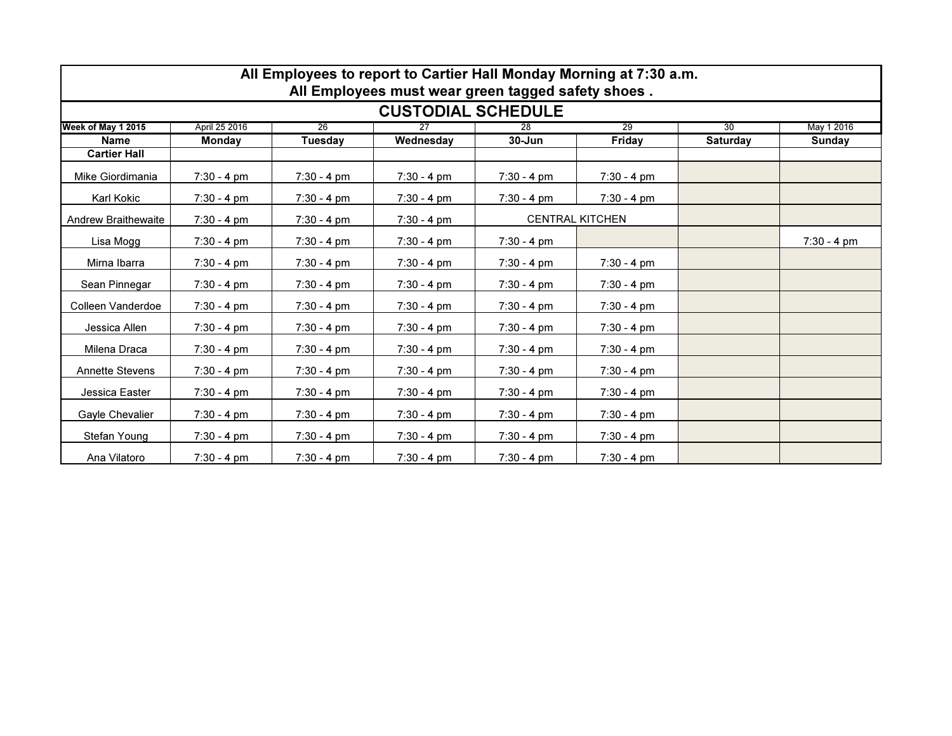| All Employees to report to Cartier Hall Monday Morning at 7:30 a.m. |                       |                       |                       |                       |                        |                 |                       |  |  |  |
|---------------------------------------------------------------------|-----------------------|-----------------------|-----------------------|-----------------------|------------------------|-----------------|-----------------------|--|--|--|
| All Employees must wear green tagged safety shoes.                  |                       |                       |                       |                       |                        |                 |                       |  |  |  |
| <b>CUSTODIAL SCHEDULE</b>                                           |                       |                       |                       |                       |                        |                 |                       |  |  |  |
| Week of May 1 2015                                                  | April 25 2016         | 26                    | 27                    | 28                    | 29                     | 30              | May 1 2016            |  |  |  |
| <b>Name</b>                                                         | <b>Monday</b>         | Tuesdav               | Wednesday             | $30 - Jun$            | Friday                 | <b>Saturday</b> | Sunday                |  |  |  |
| <b>Cartier Hall</b>                                                 |                       |                       |                       |                       |                        |                 |                       |  |  |  |
| Mike Giordimania                                                    | $7:30 - 4 \text{ pm}$ | $7:30 - 4 \text{ pm}$ | $7:30 - 4 \text{ pm}$ | $7:30 - 4 \text{ pm}$ | $7:30 - 4 \text{ pm}$  |                 |                       |  |  |  |
| Karl Kokic                                                          | $7:30 - 4 \text{ pm}$ | $7:30 - 4 \text{ pm}$ | $7:30 - 4 \text{ pm}$ | $7:30 - 4 pm$         | $7:30 - 4 pm$          |                 |                       |  |  |  |
| <b>Andrew Braithewaite</b>                                          | $7:30 - 4 \text{ pm}$ | $7:30 - 4 \text{ pm}$ | $7:30 - 4 pm$         |                       | <b>CENTRAL KITCHEN</b> |                 |                       |  |  |  |
| Lisa Mogg                                                           | $7:30 - 4 \text{ pm}$ | $7:30 - 4 \text{ pm}$ | $7:30 - 4 pm$         | $7:30 - 4 pm$         |                        |                 | $7:30 - 4 \text{ pm}$ |  |  |  |
| Mirna Ibarra                                                        | $7:30 - 4 \text{ pm}$ | $7:30 - 4 \text{ pm}$ | $7:30 - 4 \text{ pm}$ | $7:30 - 4 \text{ pm}$ | $7:30 - 4 pm$          |                 |                       |  |  |  |
| Sean Pinnegar                                                       | $7:30 - 4 \text{ pm}$ | $7:30 - 4 \text{ pm}$ | $7:30 - 4 pm$         | $7:30 - 4 \text{ pm}$ | $7:30 - 4 \text{ pm}$  |                 |                       |  |  |  |
| Colleen Vanderdoe                                                   | $7:30 - 4 \text{ pm}$ | $7:30 - 4 \text{ pm}$ | $7:30 - 4$ pm         | $7:30 - 4 \text{ pm}$ | $7:30 - 4 \text{ pm}$  |                 |                       |  |  |  |
| Jessica Allen                                                       | $7:30 - 4 pm$         | $7:30 - 4 \text{ pm}$ | $7:30 - 4 pm$         | $7:30 - 4 pm$         | $7:30 - 4 pm$          |                 |                       |  |  |  |
| Milena Draca                                                        | $7:30 - 4 \text{ pm}$ | $7:30 - 4 \text{ pm}$ | $7:30 - 4 pm$         | $7:30 - 4 \text{ pm}$ | $7:30 - 4 \text{ pm}$  |                 |                       |  |  |  |
| <b>Annette Stevens</b>                                              | $7:30 - 4 pm$         | $7:30 - 4 \text{ pm}$ | $7:30 - 4 pm$         | $7:30 - 4 pm$         | $7:30 - 4 pm$          |                 |                       |  |  |  |
| Jessica Easter                                                      | $7:30 - 4 pm$         | $7:30 - 4 pm$         | $7:30 - 4 pm$         | $7:30 - 4 pm$         | $7:30 - 4 pm$          |                 |                       |  |  |  |
| Gayle Chevalier                                                     | $7:30 - 4 \text{ pm}$ | $7:30 - 4 \text{ pm}$ | $7:30 - 4 pm$         | $7:30 - 4 \text{ pm}$ | $7:30 - 4 pm$          |                 |                       |  |  |  |
| Stefan Young                                                        | $7:30 - 4 \text{ pm}$ | $7:30 - 4 \text{ pm}$ | $7:30 - 4 pm$         | $7:30 - 4 pm$         | $7:30 - 4 pm$          |                 |                       |  |  |  |
| Ana Vilatoro                                                        | $7:30 - 4 pm$         | $7:30 - 4 \text{ pm}$ | $7:30 - 4$ pm         | $7:30 - 4 \text{ pm}$ | $7:30 - 4 \text{ pm}$  |                 |                       |  |  |  |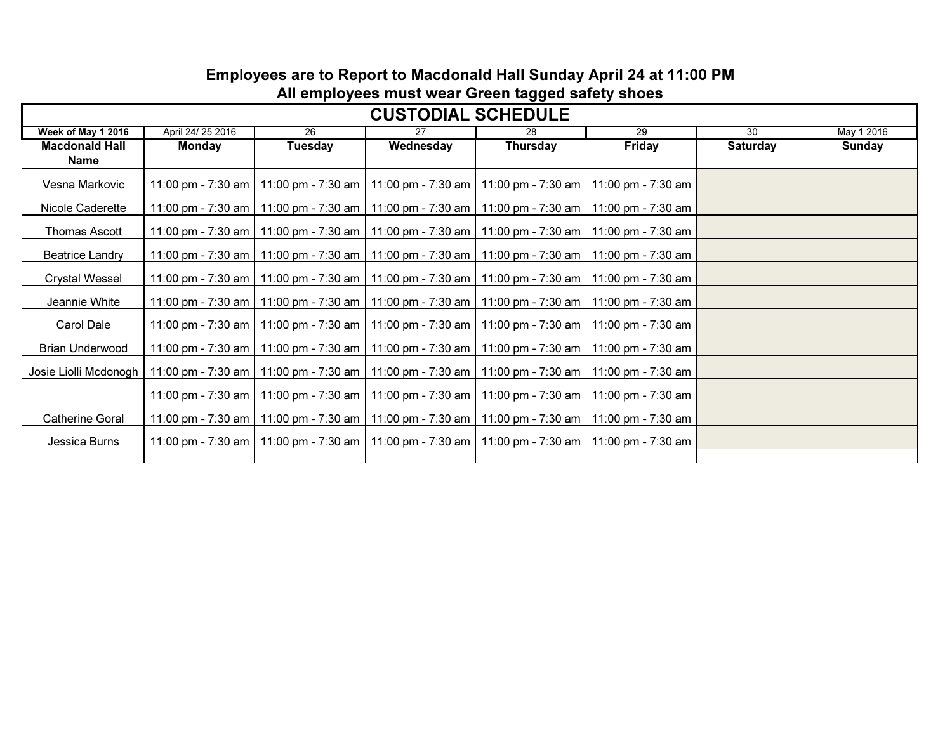### Employees are to Report to Macdonald Hall Sunday April 24 at 11:00 PM All employees must wear Green tagged safety shoes

| <b>CUSTODIAL SCHEDULE</b> |                   |                                                                                   |           |                                         |                    |                 |            |  |  |  |
|---------------------------|-------------------|-----------------------------------------------------------------------------------|-----------|-----------------------------------------|--------------------|-----------------|------------|--|--|--|
| Week of May 1 2016        | April 24/ 25 2016 | $\overline{26}$                                                                   | 27        | 28                                      | $\overline{29}$    | 30              | May 1 2016 |  |  |  |
| <b>Macdonald Hall</b>     | <b>Monday</b>     | Tuesday                                                                           | Wednesday | Thursday                                | <b>Friday</b>      | <b>Saturday</b> | Sunday     |  |  |  |
| <b>Name</b>               |                   |                                                                                   |           |                                         |                    |                 |            |  |  |  |
| Vesna Markovic            |                   | 11:00 pm - 7:30 am   11:00 pm - 7:30 am   11:00 pm - 7:30 am   11:00 pm - 7:30 am |           |                                         | 11:00 pm - 7:30 am |                 |            |  |  |  |
| Nicole Caderette          |                   | 11:00 pm - 7:30 am   11:00 pm - 7:30 am   11:00 pm - 7:30 am   11:00 pm - 7:30 am |           |                                         | 11:00 pm - 7:30 am |                 |            |  |  |  |
| Thomas Ascott             |                   | 11:00 pm - 7:30 am   11:00 pm - 7:30 am   11:00 pm - 7:30 am   11:00 pm - 7:30 am |           |                                         | 11:00 pm - 7:30 am |                 |            |  |  |  |
| <b>Beatrice Landry</b>    |                   | 11:00 pm - 7:30 am   11:00 pm - 7:30 am   11:00 pm - 7:30 am   11:00 pm - 7:30 am |           |                                         | 11:00 pm - 7:30 am |                 |            |  |  |  |
| <b>Crystal Wessel</b>     |                   | 11:00 pm - 7:30 am   11:00 pm - 7:30 am   11:00 pm - 7:30 am   11:00 pm - 7:30 am |           |                                         | 11:00 pm - 7:30 am |                 |            |  |  |  |
| Jeannie White             |                   | 11:00 pm - 7:30 am   11:00 pm - 7:30 am   11:00 pm - 7:30 am   11:00 pm - 7:30 am |           |                                         | 11:00 pm - 7:30 am |                 |            |  |  |  |
| Carol Dale                |                   | 11:00 pm - 7:30 am   11:00 pm - 7:30 am   11:00 pm - 7:30 am   11:00 pm - 7:30 am |           |                                         | 11:00 pm - 7:30 am |                 |            |  |  |  |
| <b>Brian Underwood</b>    |                   | 11:00 pm - 7:30 am   11:00 pm - 7:30 am                                           |           | 11:00 pm - 7:30 am   11:00 pm - 7:30 am | 11:00 pm - 7:30 am |                 |            |  |  |  |
| Josie Liolli Mcdonogh     |                   | 11:00 pm - 7:30 am   11:00 pm - 7:30 am   11:00 pm - 7:30 am   11:00 pm - 7:30 am |           |                                         | 11:00 pm - 7:30 am |                 |            |  |  |  |
|                           |                   | 11:00 pm - 7:30 am   11:00 pm - 7:30 am   11:00 pm - 7:30 am   11:00 pm - 7:30 am |           |                                         | 11:00 pm - 7:30 am |                 |            |  |  |  |
| <b>Catherine Goral</b>    |                   | 11:00 pm - 7:30 am   11:00 pm - 7:30 am   11:00 pm - 7:30 am   11:00 pm - 7:30 am |           |                                         | 11:00 pm - 7:30 am |                 |            |  |  |  |
| Jessica Burns             |                   | 11:00 pm - 7:30 am   11:00 pm - 7:30 am   11:00 pm - 7:30 am   11:00 pm - 7:30 am |           |                                         | 11:00 pm - 7:30 am |                 |            |  |  |  |
|                           |                   |                                                                                   |           |                                         |                    |                 |            |  |  |  |